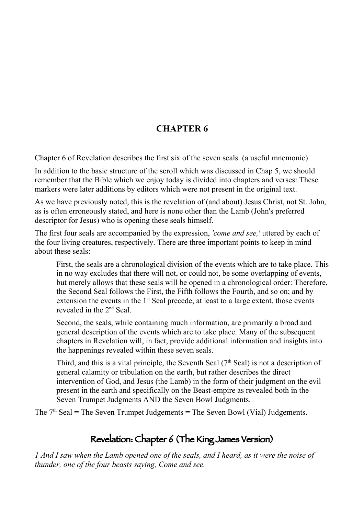## **CHAPTER 6**

Chapter 6 of Revelation describes the first six of the seven seals. (a useful mnemonic)

In addition to the basic structure of the scroll which was discussed in Chap 5, we should remember that the Bible which we enjoy today is divided into chapters and verses: These markers were later additions by editors which were not present in the original text.

As we have previously noted, this is the revelation of (and about) Jesus Christ, not St. John, as is often erroneously stated, and here is none other than the Lamb (John's preferred descriptor for Jesus) who is opening these seals himself.

The first four seals are accompanied by the expression, *'come and see,'* uttered by each of the four living creatures, respectively. There are three important points to keep in mind about these seals:

First, the seals are a chronological division of the events which are to take place. This in no way excludes that there will not, or could not, be some overlapping of events, but merely allows that these seals will be opened in a chronological order: Therefore, the Second Seal follows the First, the Fifth follows the Fourth, and so on; and by extension the events in the  $1<sup>st</sup>$  Seal precede, at least to a large extent, those events revealed in the 2nd Seal.

Second, the seals, while containing much information, are primarily a broad and general description of the events which are to take place. Many of the subsequent chapters in Revelation will, in fact, provide additional information and insights into the happenings revealed within these seven seals.

Third, and this is a vital principle, the Seventh Seal  $(7<sup>th</sup>$  Seal) is not a description of general calamity or tribulation on the earth, but rather describes the direct intervention of God, and Jesus (the Lamb) in the form of their judgment on the evil present in the earth and specifically on the Beast-empire as revealed both in the Seven Trumpet Judgments AND the Seven Bowl Judgments.

The  $7<sup>th</sup>$  Seal = The Seven Trumpet Judgements = The Seven Bowl (Vial) Judgements.

## Revelation: Chapter 6 (The King James Version)

*1 And I saw when the Lamb opened one of the seals, and I heard, as it were the noise of thunder, one of the four beasts saying, Come and see.*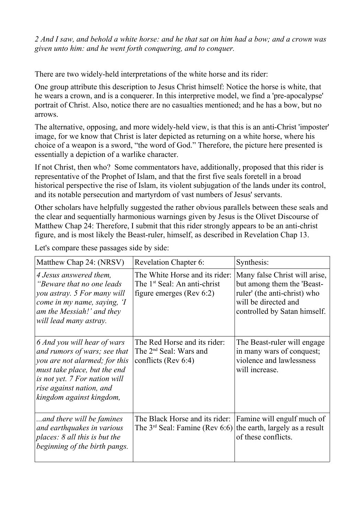*2 And I saw, and behold a white horse: and he that sat on him had a bow; and a crown was given unto him: and he went forth conquering, and to conquer.*

There are two widely-held interpretations of the white horse and its rider:

One group attribute this description to Jesus Christ himself: Notice the horse is white, that he wears a crown, and is a conquerer. In this interpretive model, we find a 'pre-apocalypse' portrait of Christ. Also, notice there are no casualties mentioned; and he has a bow, but no arrows.

The alternative, opposing, and more widely-held view, is that this is an anti-Christ 'imposter' image, for we know that Christ is later depicted as returning on a white horse, where his choice of a weapon is a sword, "the word of God." Therefore, the picture here presented is essentially a depiction of a warlike character.

If not Christ, then who? Some commentators have, additionally, proposed that this rider is representative of the Prophet of Islam, and that the first five seals foretell in a broad historical perspective the rise of Islam, its violent subjugation of the lands under its control, and its notable persecution and martyrdom of vast numbers of Jesus' servants.

Other scholars have helpfully suggested the rather obvious parallels between these seals and the clear and sequentially harmonious warnings given by Jesus is the Olivet Discourse of Matthew Chap 24: Therefore, I submit that this rider strongly appears to be an anti-christ figure, and is most likely the Beast-ruler, himself, as described in Revelation Chap 13.

| Matthew Chap 24: (NRSV)                                                                                                                                                                                               | <b>Revelation Chapter 6:</b>                                                                              | Synthesis:                                                                                                                                          |
|-----------------------------------------------------------------------------------------------------------------------------------------------------------------------------------------------------------------------|-----------------------------------------------------------------------------------------------------------|-----------------------------------------------------------------------------------------------------------------------------------------------------|
| 4 Jesus answered them,<br>"Beware that no one leads"<br>you astray. 5 For many will<br>come in my name, saying, 'I<br>am the Messiah!' and they<br>will lead many astray.                                             | The White Horse and its rider:<br>The 1 <sup>st</sup> Seal: An anti-christ<br>figure emerges (Rev $6:2$ ) | Many false Christ will arise,<br>but among them the 'Beast-<br>ruler' (the anti-christ) who<br>will be directed and<br>controlled by Satan himself. |
| 6 And you will hear of wars<br>and rumors of wars; see that<br>you are not alarmed; for this<br>must take place, but the end<br>is not yet. 7 For nation will<br>rise against nation, and<br>kingdom against kingdom, | The Red Horse and its rider:<br>The 2 <sup>nd</sup> Seal: Wars and<br>conflicts (Rev $6:4$ )              | The Beast-ruler will engage<br>in many wars of conquest;<br>violence and lawlessness<br>will increase.                                              |
| and there will be famines<br>and earthquakes in various<br>places: 8 all this is but the<br>beginning of the birth pangs.                                                                                             | The Black Horse and its rider:<br>The $3^{rd}$ Seal: Famine (Rev 6:6)                                     | Famine will engulf much of<br>the earth, largely as a result<br>of these conflicts.                                                                 |

Let's compare these passages side by side: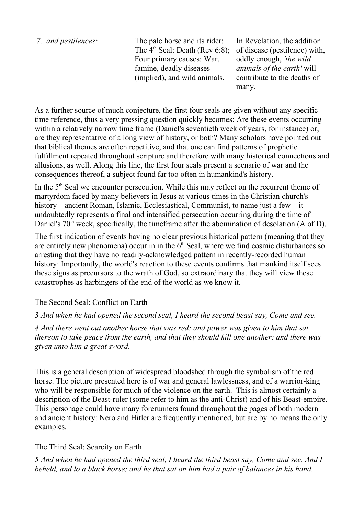| $\vert$ 7and pestilences; | The pale horse and its rider:<br>The $4th$ Seal: Death (Rev 6:8);<br>Four primary causes: War,<br>famine, deadly diseases<br>(implied), and wild animals. | In Revelation, the addition<br>of disease (pestilence) with,<br>oddly enough, 'the wild<br><i>animals of the earth'</i> will<br>contribute to the deaths of |
|---------------------------|-----------------------------------------------------------------------------------------------------------------------------------------------------------|-------------------------------------------------------------------------------------------------------------------------------------------------------------|
|                           |                                                                                                                                                           | many.                                                                                                                                                       |

As a further source of much conjecture, the first four seals are given without any specific time reference, thus a very pressing question quickly becomes: Are these events occurring within a relatively narrow time frame (Daniel's seventieth week of years, for instance) or, are they representative of a long view of history, or both? Many scholars have pointed out that biblical themes are often repetitive, and that one can find patterns of prophetic fulfillment repeated throughout scripture and therefore with many historical connections and allusions, as well. Along this line, the first four seals present a scenario of war and the consequences thereof, a subject found far too often in humankind's history.

In the 5<sup>th</sup> Seal we encounter persecution. While this may reflect on the recurrent theme of martyrdom faced by many believers in Jesus at various times in the Christian church's history – ancient Roman, Islamic, Ecclesiastical, Communist, to name just a few – it undoubtedly represents a final and intensified persecution occurring during the time of Daniel's  $70<sup>th</sup>$  week, specifically, the timeframe after the abomination of desolation (A of D).

The first indication of events having no clear previous historical pattern (meaning that they are entirely new phenomena) occur in in the  $6<sup>th</sup>$  Seal, where we find cosmic disturbances so arresting that they have no readily-acknowledged pattern in recently-recorded human history: Importantly, the world's reaction to these events confirms that mankind itself sees these signs as precursors to the wrath of God, so extraordinary that they will view these catastrophes as harbingers of the end of the world as we know it.

### The Second Seal: Conflict on Earth

*3 And when he had opened the second seal, I heard the second beast say, Come and see.*

*4 And there went out another horse that was red: and power was given to him that sat thereon to take peace from the earth, and that they should kill one another: and there was given unto him a great sword.*

This is a general description of widespread bloodshed through the symbolism of the red horse. The picture presented here is of war and general lawlessness, and of a warrior-king who will be responsible for much of the violence on the earth. This is almost certainly a description of the Beast-ruler (some refer to him as the anti-Christ) and of his Beast-empire. This personage could have many forerunners found throughout the pages of both modern and ancient history: Nero and Hitler are frequently mentioned, but are by no means the only examples.

## The Third Seal: Scarcity on Earth

*5 And when he had opened the third seal, I heard the third beast say, Come and see. And I beheld, and lo a black horse; and he that sat on him had a pair of balances in his hand.*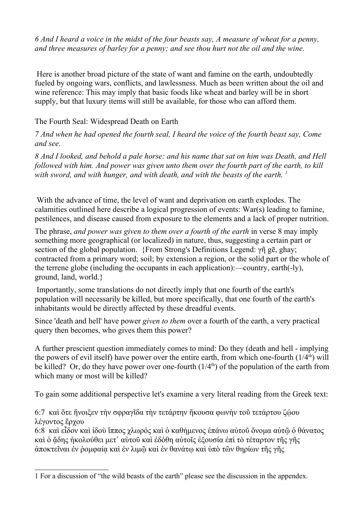*6 And I heard a voice in the midst of the four beasts say, A measure of wheat for a penny, and three measures of barley for a penny; and see thou hurt not the oil and the wine.*

 Here is another broad picture of the state of want and famine on the earth, undoubtedly fueled by ongoing wars, conflicts, and lawlessness. Much as been written about the oil and wine reference: This may imply that basic foods like wheat and barley will be in short supply, but that luxury items will still be available, for those who can afford them.

### The Fourth Seal: Widespread Death on Earth

*7 And when he had opened the fourth seal, I heard the voice of the fourth beast say, Come and see.*

*8 And I looked, and behold a pale horse: and his name that sat on him was Death, and Hell followed with him. And power was given unto them over the fourth part of the earth, to kill with sword, and with hunger, and with death, and with the beasts of the earth. 1*

 With the advance of time, the level of want and deprivation on earth explodes. The calamities outlined here describe a logical progression of events: War(s) leading to famine, pestilences, and disease caused from exposure to the elements and a lack of proper nutrition.

The phrase, *and power was given to them over a fourth of the earth* in verse 8 may imply something more geographical (or localized) in nature, thus, suggesting a certain part or section of the global population. {From Strong's Definitions Legend: γῆ gē, ghay; contracted from a primary word; soil; by extension a region, or the solid part or the whole of the terrene globe (including the occupants in each application):—country, earth(-ly), ground, land, world.}

 Importantly, some translations do not directly imply that one fourth of the earth's population will necessarily be killed, but more specifically, that one fourth of the earth's inhabitants would be directly affected by these dreadful events.

Since 'death and hell' have power *given to them* over a fourth of the earth, a very practical query then becomes, who gives them this power?

A further prescient question immediately comes to mind: Do they (death and hell - implying the powers of evil itself) have power over the entire earth, from which one-fourth  $(1/4<sup>th</sup>)$  will be killed? Or, do they have power over one-fourth  $(1/4<sup>th</sup>)$  of the population of the earth from which many or most will be killed?

To gain some additional perspective let's examine a very literal reading from the Greek text:

6:7 και ὅτε ἤνοιξεν τὴν σφραγῖδα τὴν τετάρτην ἤκουσα φωνὴν τοῦ τετάρτου ζώου λέγοντος ἔρχου

6:8 καὶ εἶδον καὶ ἰδοὺ ἵππος χλωρός καὶ ὁ καθήµενος ἐπάνω αὐτοῦ ὄνοµα αὐτῷ ὁ θάνατος καὶ ὁ ᾅδης ἠκολούθει µετ᾽ αὐτοῦ καὶ ἐδόθη αὐτοῖς ἐξουσία ἐπὶ τὸ τέταρτον τῆς γῆς ἀποκτεῖναι ἐν ῥοµφαίᾳ καὶ ἐν λιµῷ καὶ ἐν θανάτῳ καὶ ὑπὸ τῶν θηρίων τῆς γῆς

<sup>1</sup> For a discussion of "the wild beasts of the earth" please see the discussion in the appendex.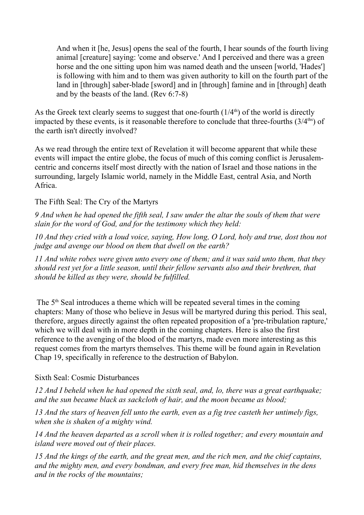And when it [he, Jesus] opens the seal of the fourth, I hear sounds of the fourth living animal [creature] saying: 'come and observe.' And I perceived and there was a green horse and the one sitting upon him was named death and the unseen [world, 'Hades'] is following with him and to them was given authority to kill on the fourth part of the land in [through] saber-blade [sword] and in [through] famine and in [through] death and by the beasts of the land. (Rev 6:7-8)

As the Greek text clearly seems to suggest that one-fourth  $(1/4<sup>th</sup>)$  of the world is directly impacted by these events, is it reasonable therefore to conclude that three-fourths  $(3/4<sup>ths</sup>)$  of the earth isn't directly involved?

As we read through the entire text of Revelation it will become apparent that while these events will impact the entire globe, the focus of much of this coming conflict is Jerusalemcentric and concerns itself most directly with the nation of Israel and those nations in the surrounding, largely Islamic world, namely in the Middle East, central Asia, and North Africa.

The Fifth Seal: The Cry of the Martyrs

*9 And when he had opened the fifth seal, I saw under the altar the souls of them that were slain for the word of God, and for the testimony which they held:*

*10 And they cried with a loud voice, saying, How long, O Lord, holy and true, dost thou not judge and avenge our blood on them that dwell on the earth?*

*11 And white robes were given unto every one of them; and it was said unto them, that they should rest yet for a little season, until their fellow servants also and their brethren, that should be killed as they were, should be fulfilled.*

The 5<sup>th</sup> Seal introduces a theme which will be repeated several times in the coming chapters: Many of those who believe in Jesus will be martyred during this period. This seal, therefore, argues directly against the often repeated proposition of a 'pre-tribulation rapture,' which we will deal with in more depth in the coming chapters. Here is also the first reference to the avenging of the blood of the martyrs, made even more interesting as this request comes from the martyrs themselves. This theme will be found again in Revelation Chap 19, specifically in reference to the destruction of Babylon.

### Sixth Seal: Cosmic Disturbances

*12 And I beheld when he had opened the sixth seal, and, lo, there was a great earthquake; and the sun became black as sackcloth of hair, and the moon became as blood;*

*13 And the stars of heaven fell unto the earth, even as a fig tree casteth her untimely figs, when she is shaken of a mighty wind.*

*14 And the heaven departed as a scroll when it is rolled together; and every mountain and island were moved out of their places.*

*15 And the kings of the earth, and the great men, and the rich men, and the chief captains, and the mighty men, and every bondman, and every free man, hid themselves in the dens and in the rocks of the mountains;*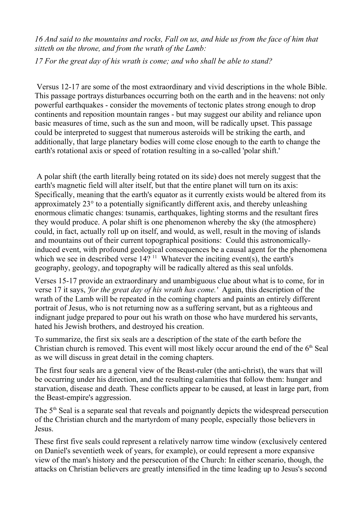*16 And said to the mountains and rocks, Fall on us, and hide us from the face of him that sitteth on the throne, and from the wrath of the Lamb:*

*17 For the great day of his wrath is come; and who shall be able to stand?*

 Versus 12-17 are some of the most extraordinary and vivid descriptions in the whole Bible. This passage portrays disturbances occurring both on the earth and in the heavens: not only powerful earthquakes - consider the movements of tectonic plates strong enough to drop continents and reposition mountain ranges - but may suggest our ability and reliance upon basic measures of time, such as the sun and moon, will be radically upset. This passage could be interpreted to suggest that numerous asteroids will be striking the earth, and additionally, that large planetary bodies will come close enough to the earth to change the earth's rotational axis or speed of rotation resulting in a so-called 'polar shift.'

 A polar shift (the earth literally being rotated on its side) does not merely suggest that the earth's magnetic field will alter itself, but that the entire planet will turn on its axis: Specifically, meaning that the earth's equator as it currently exists would be altered from its approximately 23° to a potentially significantly different axis, and thereby unleashing enormous climatic changes: tsunamis, earthquakes, lighting storms and the resultant fires they would produce. A polar shift is one phenomenon whereby the sky (the atmosphere) could, in fact, actually roll up on itself, and would, as well, result in the moving of islands and mountains out of their current topographical positions: Could this astronomicallyinduced event, with profound geological consequences be a causal agent for the phenomena which we see in described verse  $14$ ? <sup>11</sup> Whatever the inciting event(s), the earth's geography, geology, and topography will be radically altered as this seal unfolds.

Verses 15-17 provide an extraordinary and unambiguous clue about what is to come, for in verse 17 it says, *'for the great day of his wrath has come.'* Again, this description of the wrath of the Lamb will be repeated in the coming chapters and paints an entirely different portrait of Jesus, who is not returning now as a suffering servant, but as a righteous and indignant judge prepared to pour out his wrath on those who have murdered his servants, hated his Jewish brothers, and destroyed his creation.

To summarize, the first six seals are a description of the state of the earth before the Christian church is removed. This event will most likely occur around the end of the  $6<sup>th</sup>$  Seal as we will discuss in great detail in the coming chapters.

The first four seals are a general view of the Beast-ruler (the anti-christ), the wars that will be occurring under his direction, and the resulting calamities that follow them: hunger and starvation, disease and death. These conflicts appear to be caused, at least in large part, from the Beast-empire's aggression.

The 5<sup>th</sup> Seal is a separate seal that reveals and poignantly depicts the widespread persecution of the Christian church and the martyrdom of many people, especially those believers in Jesus.

These first five seals could represent a relatively narrow time window (exclusively centered on Daniel's seventieth week of years, for example), or could represent a more expansive view of the man's history and the persecution of the Church: In either scenario, though, the attacks on Christian believers are greatly intensified in the time leading up to Jesus's second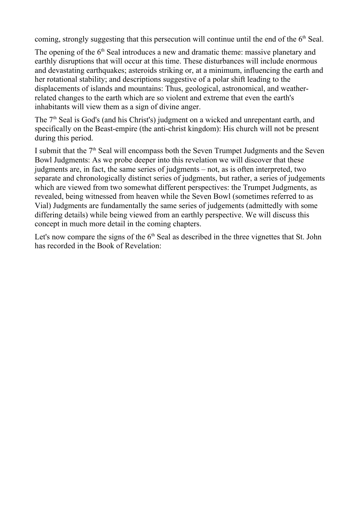coming, strongly suggesting that this persecution will continue until the end of the  $6<sup>th</sup>$  Seal.

The opening of the  $6<sup>th</sup>$  Seal introduces a new and dramatic theme: massive planetary and earthly disruptions that will occur at this time. These disturbances will include enormous and devastating earthquakes; asteroids striking or, at a minimum, influencing the earth and her rotational stability; and descriptions suggestive of a polar shift leading to the displacements of islands and mountains: Thus, geological, astronomical, and weatherrelated changes to the earth which are so violent and extreme that even the earth's inhabitants will view them as a sign of divine anger.

The 7<sup>th</sup> Seal is God's (and his Christ's) judgment on a wicked and unrepentant earth, and specifically on the Beast-empire (the anti-christ kingdom): His church will not be present during this period.

I submit that the  $7<sup>th</sup>$  Seal will encompass both the Seven Trumpet Judgments and the Seven Bowl Judgments: As we probe deeper into this revelation we will discover that these judgments are, in fact, the same series of judgments – not, as is often interpreted, two separate and chronologically distinct series of judgments, but rather, a series of judgements which are viewed from two somewhat different perspectives: the Trumpet Judgments, as revealed, being witnessed from heaven while the Seven Bowl (sometimes referred to as Vial) Judgments are fundamentally the same series of judgements (admittedly with some differing details) while being viewed from an earthly perspective. We will discuss this concept in much more detail in the coming chapters.

Let's now compare the signs of the  $6<sup>th</sup>$  Seal as described in the three vignettes that St. John has recorded in the Book of Revelation: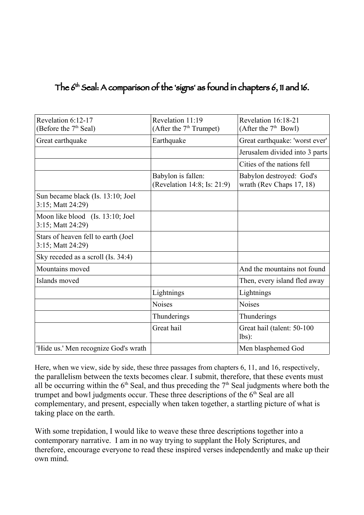# The 6th Seal: A comparison of the 'signs' as found in chapters 6, 11 and 16.

| Revelation 6:12-17                                       | Revelation 11:19                                  | Revelation 16:18-21                                  |
|----------------------------------------------------------|---------------------------------------------------|------------------------------------------------------|
| (Before the 7 <sup>th</sup> Seal)                        | (After the $7th$ Trumpet)                         | (After the $7th$ Bowl)                               |
| Great earthquake                                         | Earthquake                                        | Great earthquake: 'worst ever'                       |
|                                                          |                                                   | Jerusalem divided into 3 parts                       |
|                                                          |                                                   | Cities of the nations fell                           |
|                                                          | Babylon is fallen:<br>(Revelation 14:8; Is: 21:9) | Babylon destroyed: God's<br>wrath (Rev Chaps 17, 18) |
| Sun became black (Is. 13:10; Joel<br>3:15; Matt 24:29)   |                                                   |                                                      |
| Moon like blood (Is. 13:10; Joel<br>3:15; Matt 24:29)    |                                                   |                                                      |
| Stars of heaven fell to earth (Joel<br>3:15; Matt 24:29) |                                                   |                                                      |
| Sky receded as a scroll (Is. 34:4)                       |                                                   |                                                      |
| Mountains moved                                          |                                                   | And the mountains not found                          |
| Islands moved                                            |                                                   | Then, every island fled away                         |
|                                                          | Lightnings                                        | Lightnings                                           |
|                                                          | <b>Noises</b>                                     | <b>Noises</b>                                        |
|                                                          | Thunderings                                       | Thunderings                                          |
|                                                          | Great hail                                        | Great hail (talent: 50-100<br>$lbs$ :                |
| 'Hide us.' Men recognize God's wrath                     |                                                   | Men blasphemed God                                   |

Here, when we view, side by side, these three passages from chapters 6, 11, and 16, respectively, the parallelism between the texts becomes clear. I submit, therefore, that these events must all be occurring within the  $6<sup>th</sup>$  Seal, and thus preceding the  $7<sup>th</sup>$  Seal judgments where both the trumpet and bowl judgments occur. These three descriptions of the 6<sup>th</sup> Seal are all complementary, and present, especially when taken together, a startling picture of what is taking place on the earth.

With some trepidation, I would like to weave these three descriptions together into a contemporary narrative. I am in no way trying to supplant the Holy Scriptures, and therefore, encourage everyone to read these inspired verses independently and make up their own mind.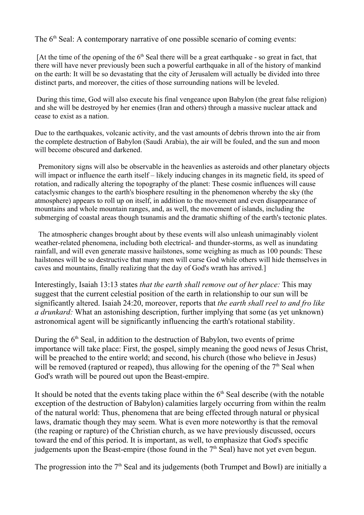The 6<sup>th</sup> Seal: A contemporary narrative of one possible scenario of coming events:

[At the time of the opening of the  $6<sup>th</sup>$  Seal there will be a great earthquake - so great in fact, that there will have never previously been such a powerful earthquake in all of the history of mankind on the earth: It will be so devastating that the city of Jerusalem will actually be divided into three distinct parts, and moreover, the cities of those surrounding nations will be leveled.

 During this time, God will also execute his final vengeance upon Babylon (the great false religion) and she will be destroyed by her enemies (Iran and others) through a massive nuclear attack and cease to exist as a nation.

Due to the earthquakes, volcanic activity, and the vast amounts of debris thrown into the air from the complete destruction of Babylon (Saudi Arabia), the air will be fouled, and the sun and moon will become obscured and darkened.

 Premonitory signs will also be observable in the heavenlies as asteroids and other planetary objects will impact or influence the earth itself – likely inducing changes in its magnetic field, its speed of rotation, and radically altering the topography of the planet: These cosmic influences will cause cataclysmic changes to the earth's biosphere resulting in the phenomenon whereby the sky (the atmosphere) appears to roll up on itself, in addition to the movement and even disappearance of mountains and whole mountain ranges, and, as well, the movement of islands, including the submerging of coastal areas though tsunamis and the dramatic shifting of the earth's tectonic plates.

 The atmospheric changes brought about by these events will also unleash unimaginably violent weather-related phenomena, including both electrical- and thunder-storms, as well as inundating rainfall, and will even generate massive hailstones, some weighing as much as 100 pounds: These hailstones will be so destructive that many men will curse God while others will hide themselves in caves and mountains, finally realizing that the day of God's wrath has arrived.]

Interestingly, Isaiah 13:13 states *that the earth shall remove out of her place:* This may suggest that the current celestial position of the earth in relationship to our sun will be significantly altered. Isaiah 24:20, moreover, reports that *the earth shall reel to and fro like a drunkard:* What an astonishing description, further implying that some (as yet unknown) astronomical agent will be significantly influencing the earth's rotational stability.

During the  $6<sup>th</sup>$  Seal, in addition to the destruction of Babylon, two events of prime importance will take place: First, the gospel, simply meaning the good news of Jesus Christ, will be preached to the entire world; and second, his church (those who believe in Jesus) will be removed (raptured or reaped), thus allowing for the opening of the  $7<sup>th</sup>$  Seal when God's wrath will be poured out upon the Beast-empire.

It should be noted that the events taking place within the  $6<sup>th</sup>$  Seal describe (with the notable exception of the destruction of Babylon) calamities largely occurring from within the realm of the natural world: Thus, phenomena that are being effected through natural or physical laws, dramatic though they may seem. What is even more noteworthy is that the removal (the reaping or rapture) of the Christian church, as we have previously discussed, occurs toward the end of this period. It is important, as well, to emphasize that God's specific judgements upon the Beast-empire (those found in the  $7<sup>th</sup>$  Seal) have not yet even begun.

The progression into the  $7<sup>th</sup>$  Seal and its judgements (both Trumpet and Bowl) are initially a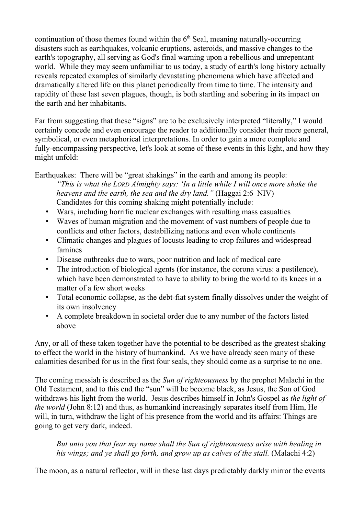continuation of those themes found within the  $6<sup>th</sup>$  Seal, meaning naturally-occurring disasters such as earthquakes, volcanic eruptions, asteroids, and massive changes to the earth's topography, all serving as God's final warning upon a rebellious and unrepentant world. While they may seem unfamiliar to us today, a study of earth's long history actually reveals repeated examples of similarly devastating phenomena which have affected and dramatically altered life on this planet periodically from time to time. The intensity and rapidity of these last seven plagues, though, is both startling and sobering in its impact on the earth and her inhabitants.

Far from suggesting that these "signs" are to be exclusively interpreted "literally," I would certainly concede and even encourage the reader to additionally consider their more general, symbolical, or even metaphorical interpretations. In order to gain a more complete and fully-encompassing perspective, let's look at some of these events in this light, and how they might unfold:

Earthquakes: There will be "great shakings" in the earth and among its people:

*"This is what the LORD Almighty says: 'In a little while I will once more shake the heavens and the earth, the sea and the dry land."* (Haggai 2:6 NIV) Candidates for this coming shaking might potentially include:

- Wars, including horrific nuclear exchanges with resulting mass casualties
- Waves of human migration and the movement of vast numbers of people due to conflicts and other factors, destabilizing nations and even whole continents
- Climatic changes and plagues of locusts leading to crop failures and widespread famines
- Disease outbreaks due to wars, poor nutrition and lack of medical care
- The introduction of biological agents (for instance, the corona virus: a pestilence), which have been demonstrated to have to ability to bring the world to its knees in a matter of a few short weeks
- Total economic collapse, as the debt-fiat system finally dissolves under the weight of its own insolvency
- A complete breakdown in societal order due to any number of the factors listed above

Any, or all of these taken together have the potential to be described as the greatest shaking to effect the world in the history of humankind. As we have already seen many of these calamities described for us in the first four seals, they should come as a surprise to no one.

The coming messiah is described as the *Sun of righteousness* by the prophet Malachi in the Old Testament, and to this end the "sun" will be become black, as Jesus, the Son of God withdraws his light from the world. Jesus describes himself in John's Gospel as *the light of the world* (John 8:12) and thus, as humankind increasingly separates itself from Him, He will, in turn, withdraw the light of his presence from the world and its affairs: Things are going to get very dark, indeed.

*But unto you that fear my name shall the Sun of righteousness arise with healing in his wings; and ye shall go forth, and grow up as calves of the stall.* (Malachi 4:2)

The moon, as a natural reflector, will in these last days predictably darkly mirror the events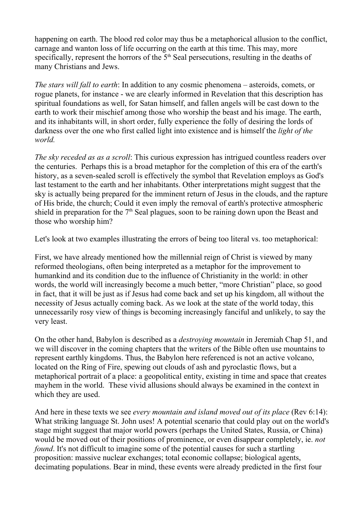happening on earth. The blood red color may thus be a metaphorical allusion to the conflict, carnage and wanton loss of life occurring on the earth at this time. This may, more specifically, represent the horrors of the  $5<sup>th</sup>$  Seal persecutions, resulting in the deaths of many Christians and Jews.

*The stars will fall to earth*: In addition to any cosmic phenomena – asteroids, comets, or rogue planets, for instance - we are clearly informed in Revelation that this description has spiritual foundations as well, for Satan himself, and fallen angels will be cast down to the earth to work their mischief among those who worship the beast and his image. The earth, and its inhabitants will, in short order, fully experience the folly of desiring the lords of darkness over the one who first called light into existence and is himself the *light of the world.*

*The sky receded as as a scroll*: This curious expression has intrigued countless readers over the centuries. Perhaps this is a broad metaphor for the completion of this era of the earth's history, as a seven-sealed scroll is effectively the symbol that Revelation employs as God's last testament to the earth and her inhabitants. Other interpretations might suggest that the sky is actually being prepared for the imminent return of Jesus in the clouds, and the rapture of His bride, the church; Could it even imply the removal of earth's protective atmospheric shield in preparation for the  $7<sup>th</sup>$  Seal plagues, soon to be raining down upon the Beast and those who worship him?

Let's look at two examples illustrating the errors of being too literal vs. too metaphorical:

First, we have already mentioned how the millennial reign of Christ is viewed by many reformed theologians, often being interpreted as a metaphor for the improvement to humankind and its condition due to the influence of Christianity in the world: in other words, the world will increasingly become a much better, "more Christian" place, so good in fact, that it will be just as if Jesus had come back and set up his kingdom, all without the necessity of Jesus actually coming back. As we look at the state of the world today, this unnecessarily rosy view of things is becoming increasingly fanciful and unlikely, to say the very least.

On the other hand, Babylon is described as a *destroying mountain* in Jeremiah Chap 51, and we will discover in the coming chapters that the writers of the Bible often use mountains to represent earthly kingdoms. Thus, the Babylon here referenced is not an active volcano, located on the Ring of Fire, spewing out clouds of ash and pyroclastic flows, but a metaphorical portrait of a place: a geopolitical entity, existing in time and space that creates mayhem in the world. These vivid allusions should always be examined in the context in which they are used.

And here in these texts we see *every mountain and island moved out of its place* (Rev 6:14): What striking language St. John uses! A potential scenario that could play out on the world's stage might suggest that major world powers (perhaps the United States, Russia, or China) would be moved out of their positions of prominence, or even disappear completely, ie. *not found*. It's not difficult to imagine some of the potential causes for such a startling proposition: massive nuclear exchanges; total economic collapse; biological agents, decimating populations. Bear in mind, these events were already predicted in the first four